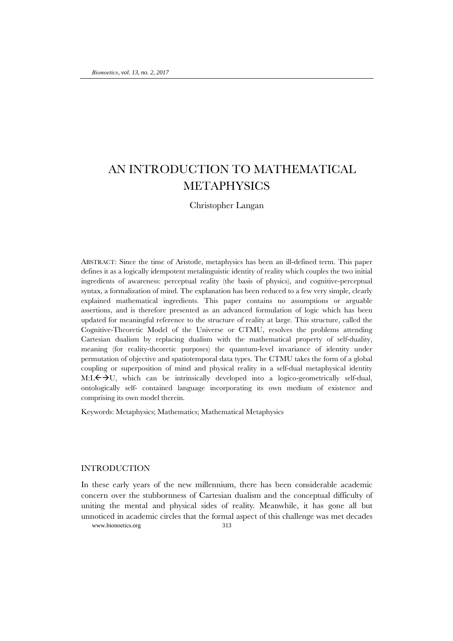# AN INTRODUCTION TO MATHEMATICAL METAPHYSICS

## Christopher Langan

ABSTRACT: Since the time of Aristotle, metaphysics has been an ill-defined term. This paper defines it as a logically idempotent metalinguistic identity of reality which couples the two initial ingredients of awareness: perceptual reality (the basis of physics), and cognitive-perceptual syntax, a formalization of mind. The explanation has been reduced to a few very simple, clearly explained mathematical ingredients. This paper contains no assumptions or arguable assertions, and is therefore presented as an advanced formulation of logic which has been updated for meaningful reference to the structure of reality at large. This structure, called the Cognitive-Theoretic Model of the Universe or CTMU, resolves the problems attending Cartesian dualism by replacing dualism with the mathematical property of self-duality, meaning (for reality-theoretic purposes) the quantum-level invariance of identity under permutation of objective and spatiotemporal data types. The CTMU takes the form of a global coupling or superposition of mind and physical reality in a self-dual metaphysical identity M:L $\leftrightarrow$ U, which can be intrinsically developed into a logico-geometrically self-dual, ontologically self- contained language incorporating its own medium of existence and comprising its own model therein.

Keywords: Metaphysics; Mathematics; Mathematical Metaphysics

### INTRODUCTION

www.bionoetics.org 313 In these early years of the new millennium, there has been considerable academic concern over the stubbornness of Cartesian dualism and the conceptual difficulty of uniting the mental and physical sides of reality. Meanwhile, it has gone all but unnoticed in academic circles that the formal aspect of this challenge was met decades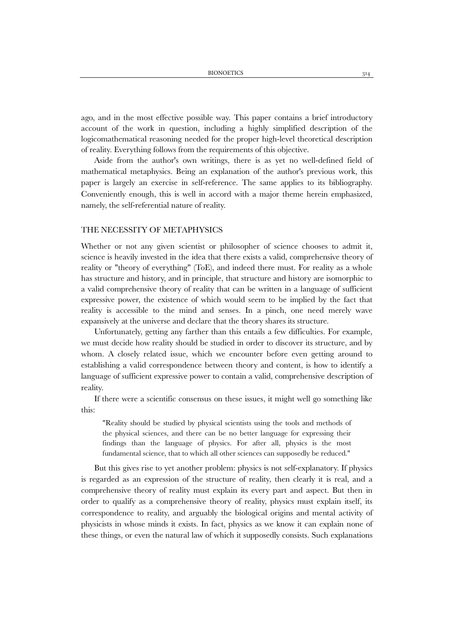ago, and in the most effective possible way. This paper contains a brief introductory account of the work in question, including a highly simplified description of the logicomathematical reasoning needed for the proper high-level theoretical description of reality. Everything follows from the requirements of this objective.

Aside from the author's own writings, there is as yet no well-defined field of mathematical metaphysics. Being an explanation of the author's previous work, this paper is largely an exercise in self-reference. The same applies to its bibliography. Conveniently enough, this is well in accord with a major theme herein emphasized, namely, the self-referential nature of reality.

### THE NECESSITY OF METAPHYSICS

Whether or not any given scientist or philosopher of science chooses to admit it, science is heavily invested in the idea that there exists a valid, comprehensive theory of reality or "theory of everything" (ToE), and indeed there must. For reality as a whole has structure and history, and in principle, that structure and history are isomorphic to a valid comprehensive theory of reality that can be written in a language of sufficient expressive power, the existence of which would seem to be implied by the fact that reality is accessible to the mind and senses. In a pinch, one need merely wave expansively at the universe and declare that the theory shares its structure.

Unfortunately, getting any farther than this entails a few difficulties. For example, we must decide how reality should be studied in order to discover its structure, and by whom. A closely related issue, which we encounter before even getting around to establishing a valid correspondence between theory and content, is how to identify a language of sufficient expressive power to contain a valid, comprehensive description of reality.

If there were a scientific consensus on these issues, it might well go something like this:

"Reality should be studied by physical scientists using the tools and methods of the physical sciences, and there can be no better language for expressing their findings than the language of physics. For after all, physics is the most fundamental science, that to which all other sciences can supposedly be reduced."

But this gives rise to yet another problem: physics is not self-explanatory. If physics is regarded as an expression of the structure of reality, then clearly it is real, and a comprehensive theory of reality must explain its every part and aspect. But then in order to qualify as a comprehensive theory of reality, physics must explain itself, its correspondence to reality, and arguably the biological origins and mental activity of physicists in whose minds it exists. In fact, physics as we know it can explain none of these things, or even the natural law of which it supposedly consists. Such explanations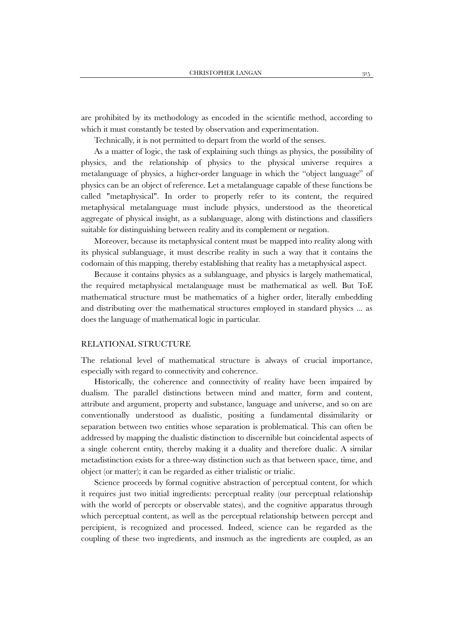are prohibited by its methodology as encoded in the scientific method, according to which it must constantly be tested by observation and experimentation.

Technically, it is not permitted to depart from the world of the senses.

As a matter of logic, the task of explaining such things as physics, the possibility of physics, and the relationship of physics to the physical universe requires a metalanguage of physics, a higher-order language in which the "object language" of physics can be an object of reference. Let a metalanguage capable of these functions be called "metaphysical". In order to properly refer to its content, the required metaphysical metalanguage must include physics, understood as the theoretical aggregate of physical insight, as a sublanguage, along with distinctions and classifiers suitable for distinguishing between reality and its complement or negation.

Moreover, because its metaphysical content must be mapped into reality along with its physical sublanguage, it must describe reality in such a way that it contains the codomain of this mapping, thereby establishing that reality has a metaphysical aspect.

Because it contains physics as a sublanguage, and physics is largely mathematical, the required metaphysical metalanguage must be mathematical as well. But ToE mathematical structure must be mathematics of a higher order, literally embedding and distributing over the mathematical structures employed in standard physics ... as does the language of mathematical logic in particular.

### RELATIONAL STRUCTURE

The relational level of mathematical structure is always of crucial importance, especially with regard to connectivity and coherence.

Historically, the coherence and connectivity of reality have been impaired by dualism. The parallel distinctions between mind and matter, form and content, attribute and argument, property and substance, language and universe, and so on are conventionally understood as dualistic, positing a fundamental dissimilarity or separation between two entities whose separation is problematical. This can often be addressed by mapping the dualistic distinction to discernible but coincidental aspects of a single coherent entity, thereby making it a duality and therefore dualic. A similar metadistinction exists for a three-way distinction such as that between space, time, and object (or matter); it can be regarded as either trialistic or trialic.

Science proceeds by formal cognitive abstraction of perceptual content, for which it requires just two initial ingredients: perceptual reality (our perceptual relationship with the world of percepts or observable states), and the cognitive apparatus through which perceptual content, as well as the perceptual relationship between percept and percipient, is recognized and processed. Indeed, science can be regarded as the coupling of these two ingredients, and insmuch as the ingredients are coupled, as an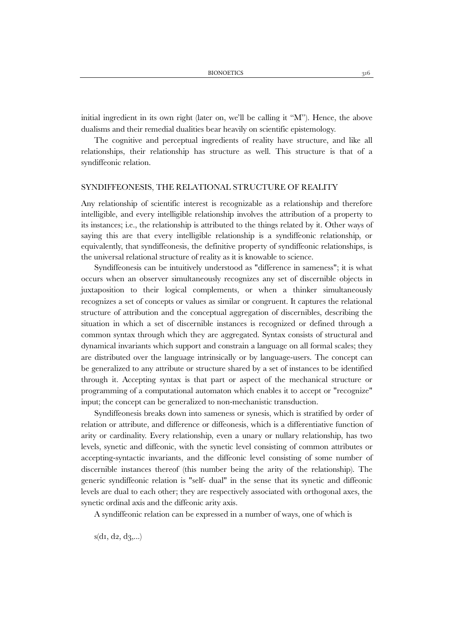initial ingredient in its own right (later on, we'll be calling it "M"). Hence, the above dualisms and their remedial dualities bear heavily on scientific epistemology.

The cognitive and perceptual ingredients of reality have structure, and like all relationships, their relationship has structure as well. This structure is that of a syndiffeonic relation.

### SYNDIFFEONESIS, THE RELATIONAL STRUCTURE OF REALITY

Any relationship of scientific interest is recognizable as a relationship and therefore intelligible, and every intelligible relationship involves the attribution of a property to its instances; i.e., the relationship is attributed to the things related by it. Other ways of saying this are that every intelligible relationship is a syndiffeonic relationship, or equivalently, that syndiffeonesis, the definitive property of syndiffeonic relationships, is the universal relational structure of reality as it is knowable to science.

Syndiffeonesis can be intuitively understood as "difference in sameness"; it is what occurs when an observer simultaneously recognizes any set of discernible objects in juxtaposition to their logical complements, or when a thinker simultaneously recognizes a set of concepts or values as similar or congruent. It captures the relational structure of attribution and the conceptual aggregation of discernibles, describing the situation in which a set of discernible instances is recognized or defined through a common syntax through which they are aggregated. Syntax consists of structural and dynamical invariants which support and constrain a language on all formal scales; they are distributed over the language intrinsically or by language-users. The concept can be generalized to any attribute or structure shared by a set of instances to be identified through it. Accepting syntax is that part or aspect of the mechanical structure or programming of a computational automaton which enables it to accept or "recognize" input; the concept can be generalized to non-mechanistic transduction.

Syndiffeonesis breaks down into sameness or synesis, which is stratified by order of relation or attribute, and difference or diffeonesis, which is a differentiative function of arity or cardinality. Every relationship, even a unary or nullary relationship, has two levels, synetic and diffeonic, with the synetic level consisting of common attributes or accepting-syntactic invariants, and the diffeonic level consisting of some number of discernible instances thereof (this number being the arity of the relationship). The generic syndiffeonic relation is "self- dual" in the sense that its synetic and diffeonic levels are dual to each other; they are respectively associated with orthogonal axes, the synetic ordinal axis and the diffeonic arity axis.

A syndiffeonic relation can be expressed in a number of ways, one of which is

 $s(d_1, d_2, d_3,...)$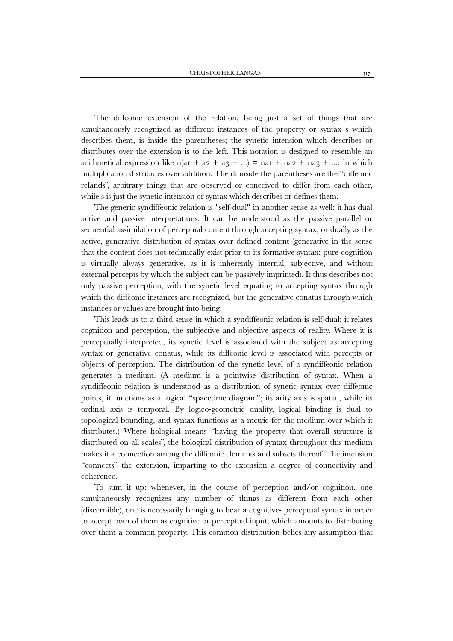The diffeonic extension of the relation, being just a set of things that are simultaneously recognized as different instances of the property or syntax s which describes them, is inside the parentheses; the synetic intension which describes or distributes over the extension is to the left. This notation is designed to resemble an arithmetical expression like  $n(a_1 + a_2 + a_3 + ...) =$  na<sub>1</sub> + na<sub>2</sub> + na<sub>3</sub> + ..., in which multiplication distributes over addition. The di inside the parentheses are the "diffeonic relands", arbitrary things that are observed or conceived to differ from each other, while s is just the synetic intension or syntax which describes or defines them.

The generic syndiffeonic relation is "self-dual" in another sense as well: it has dual active and passive interpretations. It can be understood as the passive parallel or sequential assimilation of perceptual content through accepting syntax, or dually as the active, generative distribution of syntax over defined content (generative in the sense that the content does not technically exist prior to its formative syntax; pure cognition is virtually always generative, as it is inherently internal, subjective, and without external percepts by which the subject can be passively imprinted). It thus describes not only passive perception, with the synetic level equating to accepting syntax through which the diffeonic instances are recognized, but the generative conatus through which instances or values are brought into being.

This leads us to a third sense in which a syndiffeonic relation is self-dual: it relates cognition and perception, the subjective and objective aspects of reality. Where it is perceptually interpreted, its synetic level is associated with the subject as accepting syntax or generative conatus, while its diffeonic level is associated with percepts or objects of perception. The distribution of the synetic level of a syndiffeonic relation generates a medium. (A medium is a pointwise distribution of syntax. When a syndiffeonic relation is understood as a distribution of synetic syntax over diffeonic points, it functions as a logical "spacetime diagram"; its arity axis is spatial, while its ordinal axis is temporal. By logico-geometric duality, logical binding is dual to topological bounding, and syntax functions as a metric for the medium over which it distributes.) Where hological means "having the property that overall structure is distributed on all scales", the hological distribution of syntax throughout this medium makes it a connection among the diffeonic elements and subsets thereof. The intension "connects" the extension, imparting to the extension a degree of connectivity and coherence.

To sum it up: whenever, in the course of perception and/or cognition, one simultaneously recognizes any number of things as different from each other (discernible), one is necessarily bringing to bear a cognitive- perceptual syntax in order to accept both of them as cognitive or perceptual input, which amounts to distributing over them a common property. This common distribution belies any assumption that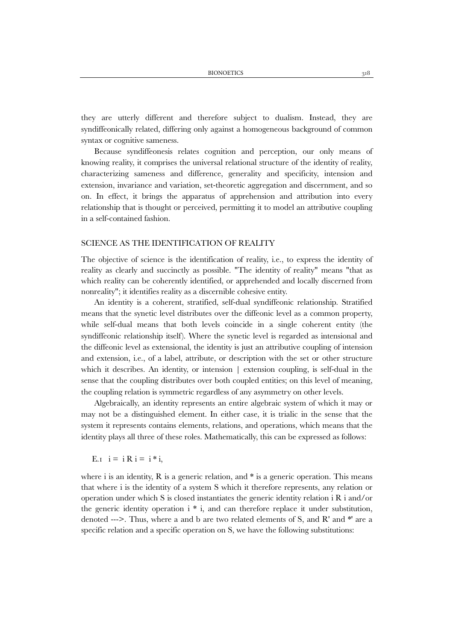they are utterly different and therefore subject to dualism. Instead, they are syndiffeonically related, differing only against a homogeneous background of common syntax or cognitive sameness.

Because syndiffeonesis relates cognition and perception, our only means of knowing reality, it comprises the universal relational structure of the identity of reality, characterizing sameness and difference, generality and specificity, intension and extension, invariance and variation, set-theoretic aggregation and discernment, and so on. In effect, it brings the apparatus of apprehension and attribution into every relationship that is thought or perceived, permitting it to model an attributive coupling in a self-contained fashion.

### SCIENCE AS THE IDENTIFICATION OF REALITY

The objective of science is the identification of reality, i.e., to express the identity of reality as clearly and succinctly as possible. "The identity of reality" means "that as which reality can be coherently identified, or apprehended and locally discerned from nonreality"; it identifies reality as a discernible cohesive entity.

An identity is a coherent, stratified, self-dual syndiffeonic relationship. Stratified means that the synetic level distributes over the diffeonic level as a common property, while self-dual means that both levels coincide in a single coherent entity (the syndiffeonic relationship itself). Where the synetic level is regarded as intensional and the diffeonic level as extensional, the identity is just an attributive coupling of intension and extension, i.e., of a label, attribute, or description with the set or other structure which it describes. An identity, or intension | extension coupling, is self-dual in the sense that the coupling distributes over both coupled entities; on this level of meaning, the coupling relation is symmetric regardless of any asymmetry on other levels.

Algebraically, an identity represents an entire algebraic system of which it may or may not be a distinguished element. In either case, it is trialic in the sense that the system it represents contains elements, relations, and operations, which means that the identity plays all three of these roles. Mathematically, this can be expressed as follows:

E.<sub>I</sub>  $i = iR$   $i = i * i$ ,

where i is an identity,  $R$  is a generic relation, and  $*$  is a generic operation. This means that where i is the identity of a system S which it therefore represents, any relation or operation under which S is closed instantiates the generic identity relation i R i and/or the generic identity operation i \* i, and can therefore replace it under substitution, denoted --->. Thus, where a and b are two related elements of S, and R' and \*' are a specific relation and a specific operation on S, we have the following substitutions: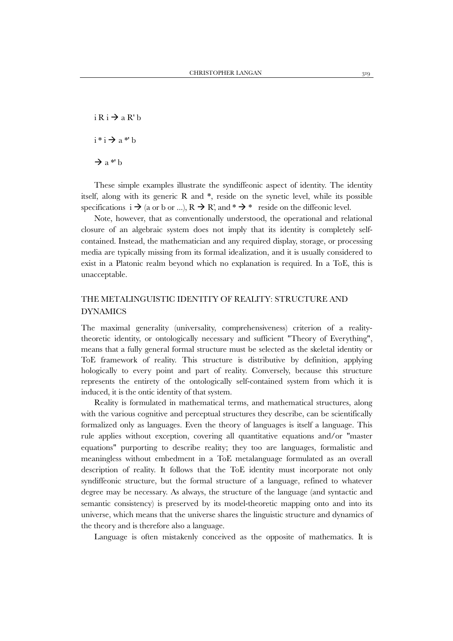$i \nvert R$   $i \nvert R$  a R' b  $i * i \rightarrow a * b$  $\rightarrow$  a\*' b

These simple examples illustrate the syndiffeonic aspect of identity. The identity itself, along with its generic R and \*, reside on the synetic level, while its possible specifications  $i \rightarrow (a \text{ or } b \text{ or } ...)$ ,  $R \rightarrow R'$ , and  $* \rightarrow *$  reside on the diffeonic level.

Note, however, that as conventionally understood, the operational and relational closure of an algebraic system does not imply that its identity is completely selfcontained. Instead, the mathematician and any required display, storage, or processing media are typically missing from its formal idealization, and it is usually considered to exist in a Platonic realm beyond which no explanation is required. In a ToE, this is unacceptable.

# THE METALINGUISTIC IDENTITY OF REALITY: STRUCTURE AND DYNAMICS

The maximal generality (universality, comprehensiveness) criterion of a realitytheoretic identity, or ontologically necessary and sufficient "Theory of Everything", means that a fully general formal structure must be selected as the skeletal identity or ToE framework of reality. This structure is distributive by definition, applying hologically to every point and part of reality. Conversely, because this structure represents the entirety of the ontologically self-contained system from which it is induced, it is the ontic identity of that system.

Reality is formulated in mathematical terms, and mathematical structures, along with the various cognitive and perceptual structures they describe, can be scientifically formalized only as languages. Even the theory of languages is itself a language. This rule applies without exception, covering all quantitative equations and/or "master equations" purporting to describe reality; they too are languages, formalistic and meaningless without embedment in a ToE metalanguage formulated as an overall description of reality. It follows that the ToE identity must incorporate not only syndiffeonic structure, but the formal structure of a language, refined to whatever degree may be necessary. As always, the structure of the language (and syntactic and semantic consistency) is preserved by its model-theoretic mapping onto and into its universe, which means that the universe shares the linguistic structure and dynamics of the theory and is therefore also a language.

Language is often mistakenly conceived as the opposite of mathematics. It is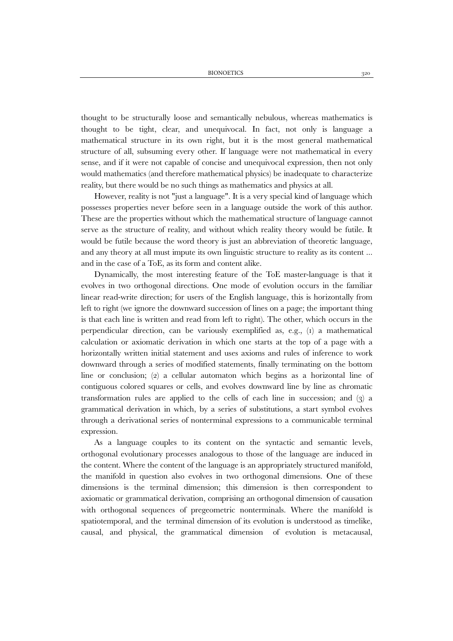thought to be structurally loose and semantically nebulous, whereas mathematics is thought to be tight, clear, and unequivocal. In fact, not only is language a mathematical structure in its own right, but it is the most general mathematical structure of all, subsuming every other. If language were not mathematical in every sense, and if it were not capable of concise and unequivocal expression, then not only would mathematics (and therefore mathematical physics) be inadequate to characterize reality, but there would be no such things as mathematics and physics at all.

However, reality is not "just a language". It is a very special kind of language which possesses properties never before seen in a language outside the work of this author. These are the properties without which the mathematical structure of language cannot serve as the structure of reality, and without which reality theory would be futile. It would be futile because the word theory is just an abbreviation of theoretic language, and any theory at all must impute its own linguistic structure to reality as its content ... and in the case of a ToE, as its form and content alike.

Dynamically, the most interesting feature of the ToE master-language is that it evolves in two orthogonal directions. One mode of evolution occurs in the familiar linear read-write direction; for users of the English language, this is horizontally from left to right (we ignore the downward succession of lines on a page; the important thing is that each line is written and read from left to right). The other, which occurs in the perpendicular direction, can be variously exemplified as, e.g.,  $(i)$  a mathematical calculation or axiomatic derivation in which one starts at the top of a page with a horizontally written initial statement and uses axioms and rules of inference to work downward through a series of modified statements, finally terminating on the bottom line or conclusion; (2) a cellular automaton which begins as a horizontal line of contiguous colored squares or cells, and evolves downward line by line as chromatic transformation rules are applied to the cells of each line in succession; and  $(3)$  a grammatical derivation in which, by a series of substitutions, a start symbol evolves through a derivational series of nonterminal expressions to a communicable terminal expression.

As a language couples to its content on the syntactic and semantic levels, orthogonal evolutionary processes analogous to those of the language are induced in the content. Where the content of the language is an appropriately structured manifold, the manifold in question also evolves in two orthogonal dimensions. One of these dimensions is the terminal dimension; this dimension is then correspondent to axiomatic or grammatical derivation, comprising an orthogonal dimension of causation with orthogonal sequences of pregeometric nonterminals. Where the manifold is spatiotemporal, and the terminal dimension of its evolution is understood as timelike, causal, and physical, the grammatical dimension of evolution is metacausal,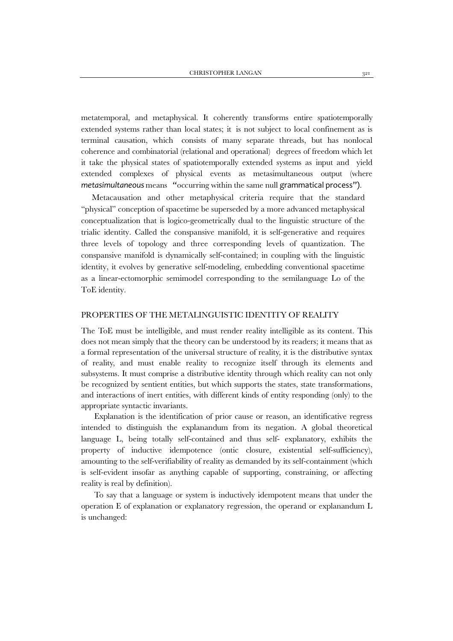metatemporal, and metaphysical. It coherently transforms entire spatiotemporally extended systems rather than local states; it is not subject to local confinement as is terminal causation, which consists of many separate threads, but has nonlocal coherence and combinatorial (relational and operational) degrees of freedom which let it take the physical states of spatiotemporally extended systems as input and yield extended complexes of physical events as metasimultaneous output (where *metasimultaneous* means "occurring within the same null grammatical process").

Metacausation and other metaphysical criteria require that the standard "physical" conception of spacetime be superseded by a more advanced metaphysical conceptualization that is logico-geometrically dual to the linguistic structure of the trialic identity. Called the conspansive manifold, it is self-generative and requires three levels of topology and three corresponding levels of quantization. The conspansive manifold is dynamically self-contained; in coupling with the linguistic identity, it evolves by generative self-modeling, embedding conventional spacetime as a linear-ectomorphic semimodel corresponding to the semilanguage Lo of the ToE identity.

### PROPERTIES OF THE METALINGUISTIC IDENTITY OF REALITY

The ToE must be intelligible, and must render reality intelligible as its content. This does not mean simply that the theory can be understood by its readers; it means that as a formal representation of the universal structure of reality, it is the distributive syntax of reality, and must enable reality to recognize itself through its elements and subsystems. It must comprise a distributive identity through which reality can not only be recognized by sentient entities, but which supports the states, state transformations, and interactions of inert entities, with different kinds of entity responding (only) to the appropriate syntactic invariants.

Explanation is the identification of prior cause or reason, an identificative regress intended to distinguish the explanandum from its negation. A global theoretical language L, being totally self-contained and thus self- explanatory, exhibits the property of inductive idempotence (ontic closure, existential self-sufficiency), amounting to the self-verifiability of reality as demanded by its self-containment (which is self-evident insofar as anything capable of supporting, constraining, or affecting reality is real by definition).

To say that a language or system is inductively idempotent means that under the operation E of explanation or explanatory regression, the operand or explanandum L is unchanged: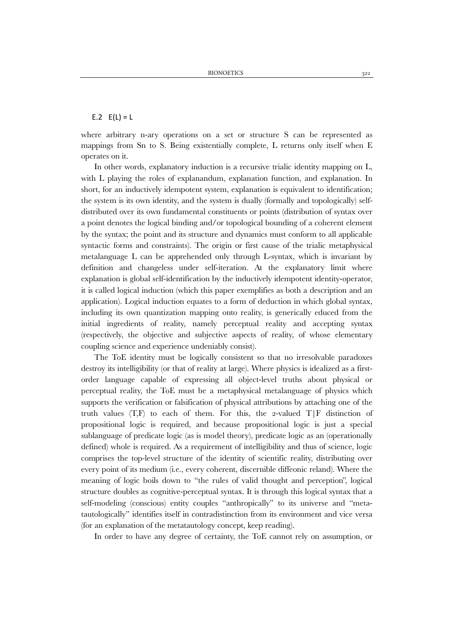### E.2  $E(L) = L$

where arbitrary n-ary operations on a set or structure S can be represented as mappings from Sn to S. Being existentially complete, L returns only itself when E operates on it.

In other words, explanatory induction is a recursive trialic identity mapping on L, with L playing the roles of explanandum, explanation function, and explanation. In short, for an inductively idempotent system, explanation is equivalent to identification; the system is its own identity, and the system is dually (formally and topologically) selfdistributed over its own fundamental constituents or points (distribution of syntax over a point denotes the logical binding and/or topological bounding of a coherent element by the syntax; the point and its structure and dynamics must conform to all applicable syntactic forms and constraints). The origin or first cause of the trialic metaphysical metalanguage L can be apprehended only through L-syntax, which is invariant by definition and changeless under self-iteration. At the explanatory limit where explanation is global self-identification by the inductively idempotent identity-operator, it is called logical induction (which this paper exemplifies as both a description and an application). Logical induction equates to a form of deduction in which global syntax, including its own quantization mapping onto reality, is generically educed from the initial ingredients of reality, namely perceptual reality and accepting syntax (respectively, the objective and subjective aspects of reality, of whose elementary coupling science and experience undeniably consist).

The ToE identity must be logically consistent so that no irresolvable paradoxes destroy its intelligibility (or that of reality at large). Where physics is idealized as a firstorder language capable of expressing all object-level truths about physical or perceptual reality, the ToE must be a metaphysical metalanguage of physics which supports the verification or falsification of physical attributions by attaching one of the truth values  $(T,F)$  to each of them. For this, the 2-valued  $T/F$  distinction of propositional logic is required, and because propositional logic is just a special sublanguage of predicate logic (as is model theory), predicate logic as an (operationally defined) whole is required. As a requirement of intelligibility and thus of science, logic comprises the top-level structure of the identity of scientific reality, distributing over every point of its medium (i.e., every coherent, discernible diffeonic reland). Where the meaning of logic boils down to "the rules of valid thought and perception", logical structure doubles as cognitive-perceptual syntax. It is through this logical syntax that a self-modeling (conscious) entity couples "anthropically" to its universe and "metatautologically" identifies itself in contradistinction from its environment and vice versa (for an explanation of the metatautology concept, keep reading).

In order to have any degree of certainty, the ToE cannot rely on assumption, or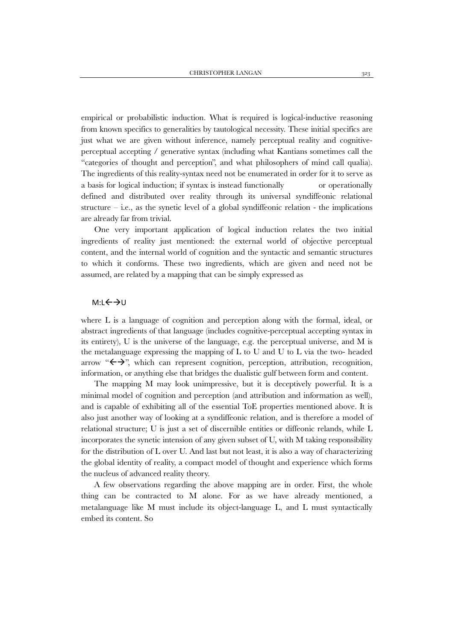empirical or probabilistic induction. What is required is logical-inductive reasoning from known specifics to generalities by tautological necessity. These initial specifics are just what we are given without inference, namely perceptual reality and cognitiveperceptual accepting / generative syntax (including what Kantians sometimes call the "categories of thought and perception", and what philosophers of mind call qualia). The ingredients of this reality-syntax need not be enumerated in order for it to serve as a basis for logical induction; if syntax is instead functionally or operationally defined and distributed over reality through its universal syndiffeonic relational structure  $-$  i.e., as the synetic level of a global syndiffeonic relation - the implications are already far from trivial.

One very important application of logical induction relates the two initial ingredients of reality just mentioned: the external world of objective perceptual content, and the internal world of cognition and the syntactic and semantic structures to which it conforms. These two ingredients, which are given and need not be assumed, are related by a mapping that can be simply expressed as

### M:L←→U

where L is a language of cognition and perception along with the formal, ideal, or abstract ingredients of that language (includes cognitive-perceptual accepting syntax in its entirety), U is the universe of the language, e.g. the perceptual universe, and M is the metalanguage expressing the mapping of L to U and U to L via the two- headed arrow " $\leftrightarrow$ ", which can represent cognition, perception, attribution, recognition, information, or anything else that bridges the dualistic gulf between form and content.

The mapping M may look unimpressive, but it is deceptively powerful. It is a minimal model of cognition and perception (and attribution and information as well), and is capable of exhibiting all of the essential ToE properties mentioned above. It is also just another way of looking at a syndiffeonic relation, and is therefore a model of relational structure; U is just a set of discernible entities or diffeonic relands, while L incorporates the synetic intension of any given subset of U, with M taking responsibility for the distribution of L over U. And last but not least, it is also a way of characterizing the global identity of reality, a compact model of thought and experience which forms the nucleus of advanced reality theory.

A few observations regarding the above mapping are in order. First, the whole thing can be contracted to M alone. For as we have already mentioned, a metalanguage like M must include its object-language L, and L must syntactically embed its content. So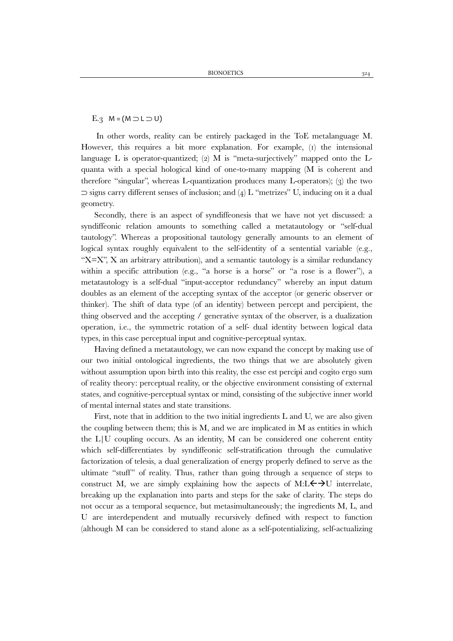E.3  $M = (M \supset L \supset U)$ 

In other words, reality can be entirely packaged in the ToE metalanguage M. However, this requires a bit more explanation. For example,  $(i)$  the intensional language L is operator-quantized; (2) M is "meta-surjectively" mapped onto the  $L$ quanta with a special hological kind of one-to-many mapping (M is coherent and therefore "singular", whereas L-quantization produces many L-operators); (3) the two  $\supset$  signs carry different senses of inclusion; and (4) L "metrizes" U, inducing on it a dual geometry.

Secondly, there is an aspect of syndiffeonesis that we have not yet discussed: a syndiffeonic relation amounts to something called a metatautology or "self-dual tautology". Whereas a propositional tautology generally amounts to an element of logical syntax roughly equivalent to the self-identity of a sentential variable (e.g., " $X=X$ ", X an arbitrary attribution), and a semantic tautology is a similar redundancy within a specific attribution (e.g., "a horse is a horse" or "a rose is a flower"), a metatautology is a self-dual "input-acceptor redundancy" whereby an input datum doubles as an element of the accepting syntax of the acceptor (or generic observer or thinker). The shift of data type (of an identity) between percept and percipient, the thing observed and the accepting / generative syntax of the observer, is a dualization operation, i.e., the symmetric rotation of a self- dual identity between logical data types, in this case perceptual input and cognitive-perceptual syntax.

Having defined a metatautology, we can now expand the concept by making use of our two initial ontological ingredients, the two things that we are absolutely given without assumption upon birth into this reality, the esse est percipi and cogito ergo sum of reality theory: perceptual reality, or the objective environment consisting of external states, and cognitive-perceptual syntax or mind, consisting of the subjective inner world of mental internal states and state transitions.

First, note that in addition to the two initial ingredients L and U, we are also given the coupling between them; this is M, and we are implicated in M as entities in which the  $L/U$  coupling occurs. As an identity, M can be considered one coherent entity which self-differentiates by syndiffeonic self-stratification through the cumulative factorization of telesis, a dual generalization of energy properly defined to serve as the ultimate "stuff" of reality. Thus, rather than going through a sequence of steps to construct M, we are simply explaining how the aspects of M:L $\leftrightarrow$ U interrelate, breaking up the explanation into parts and steps for the sake of clarity. The steps do not occur as a temporal sequence, but metasimultaneously; the ingredients M, L, and U are interdependent and mutually recursively defined with respect to function (although M can be considered to stand alone as a self-potentializing, self-actualizing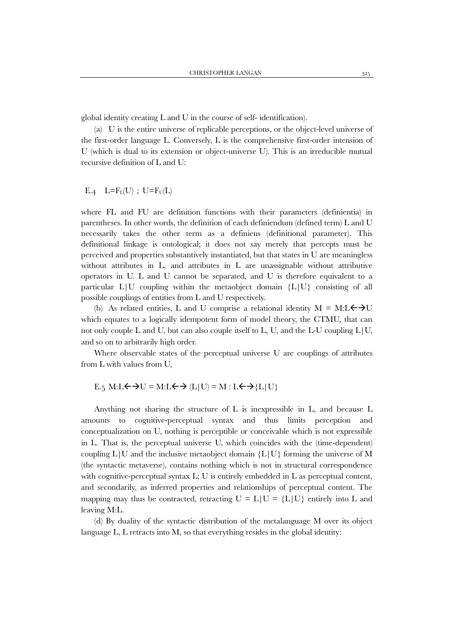global identity creating L and U in the course of self- identification).

(a) U is the entire universe of replicable perceptions, or the object-level universe of the first-order language L. Conversely, L is the comprehensive first-order intension of U (which is dual to its extension or object-universe U). This is an irreducible mutual recursive definition of L and U:

$$
E.4 \quad L = F_L(U) \ ; \ U = F_U(L)
$$

where FL and FU are definition functions with their parameters (definientia) in parentheses. In other words, the definition of each definiendum (defined term) L and U necessarily takes the other term as a definiens (definitional parameter). This definitional linkage is ontological; it does not say merely that percepts must be perceived and properties substantively instantiated, but that states in U are meaningless without attributes in L, and attributes in L are unassignable without attributive operators in U. L and U cannot be separated, and U is therefore equivalent to a particular L|U coupling within the metaobject domain {L|U} consisting of all possible couplings of entities from L and U respectively.

(b) As related entities, L and U comprise a relational identity  $M = M: L \leftrightarrow U$ which equates to a logically idempotent form of model theory, the CTMU, that can not only couple L and U, but can also couple itself to L, U, and the L-U coupling  $L/U$ , and so on to arbitrarily high order.

Where observable states of the perceptual universe U are couplings of attributes from L with values from U,

$$
E_5 M: L \leftrightarrow U = M: L \leftrightarrow (L|U) = M: L \leftrightarrow \{L|U\}
$$

Anything not sharing the structure of L is inexpressible in L, and because L amounts to cognitive-perceptual syntax and thus limits perception and conceptualization on U, nothing is perceptible or conceivable which is not expressible in L. That is, the perceptual universe U, which coincides with the (time-dependent) coupling  $L|U$  and the inclusive metaobject domain  ${L|U}$  forming the universe of M (the syntactic metaverse), contains nothing which is not in structural correspondence with cognitive-perceptual syntax L; U is entirely embedded in L as perceptual content, and secondarily, as inferred properties and relationships of perceptual content. The mapping may thus be contracted, retracting  $U = L|U| = \{L|U\}$  entirely into L and leaving M:L.

(d) By duality of the syntactic distribution of the metalanguage M over its object language L, L retracts into M, so that everything resides in the global identity: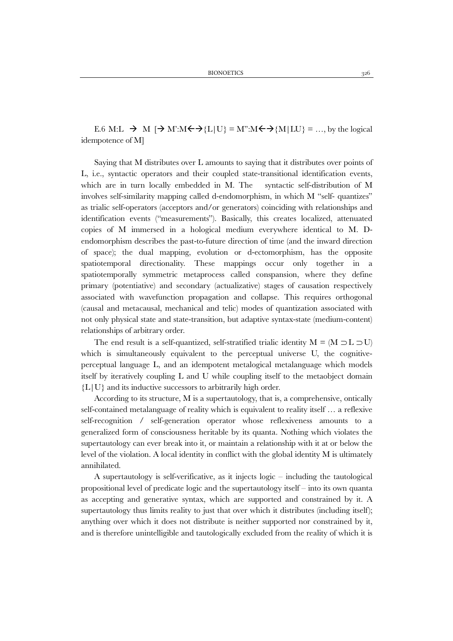E.6 M:L  $\rightarrow$  M  $\rightarrow$  M':M $\leftarrow$   $\rightarrow$  {L|U} = M":M $\leftarrow$   $\rightarrow$  {M|LU} = ..., by the logical idempotence of M]

Saying that M distributes over L amounts to saying that it distributes over points of L, i.e., syntactic operators and their coupled state-transitional identification events, which are in turn locally embedded in M. The syntactic self-distribution of M involves self-similarity mapping called d-endomorphism, in which M "self- quantizes" as trialic self-operators (acceptors and/or generators) coinciding with relationships and identification events ("measurements"). Basically, this creates localized, attenuated copies of M immersed in a hological medium everywhere identical to M. Dendomorphism describes the past-to-future direction of time (and the inward direction of space); the dual mapping, evolution or d-ectomorphism, has the opposite spatiotemporal directionality. These mappings occur only together in a spatiotemporally symmetric metaprocess called conspansion, where they define primary (potentiative) and secondary (actualizative) stages of causation respectively associated with wavefunction propagation and collapse. This requires orthogonal (causal and metacausal, mechanical and telic) modes of quantization associated with not only physical state and state-transition, but adaptive syntax-state (medium-content) relationships of arbitrary order.

The end result is a self-quantized, self-stratified trialic identity  $M = (M \supset L \supset U)$ which is simultaneously equivalent to the perceptual universe U, the cognitiveperceptual language L, and an idempotent metalogical metalanguage which models itself by iteratively coupling L and U while coupling itself to the metaobject domain  ${L|U}$  and its inductive successors to arbitrarily high order.

According to its structure, M is a supertautology, that is, a comprehensive, ontically self-contained metalanguage of reality which is equivalent to reality itself … a reflexive self-recognition / self-generation operator whose reflexiveness amounts to a generalized form of consciousness heritable by its quanta. Nothing which violates the supertautology can ever break into it, or maintain a relationship with it at or below the level of the violation. A local identity in conflict with the global identity M is ultimately annihilated.

A supertautology is self-verificative, as it injects logic – including the tautological propositional level of predicate logic and the supertautology itself – into its own quanta as accepting and generative syntax, which are supported and constrained by it. A supertautology thus limits reality to just that over which it distributes (including itself); anything over which it does not distribute is neither supported nor constrained by it, and is therefore unintelligible and tautologically excluded from the reality of which it is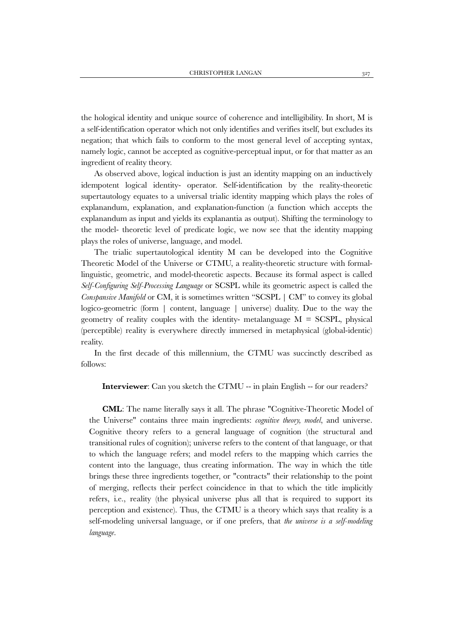the hological identity and unique source of coherence and intelligibility. In short, M is a self-identification operator which not only identifies and verifies itself, but excludes its negation; that which fails to conform to the most general level of accepting syntax, namely logic, cannot be accepted as cognitive-perceptual input, or for that matter as an ingredient of reality theory.

As observed above, logical induction is just an identity mapping on an inductively idempotent logical identity- operator. Self-identification by the reality-theoretic supertautology equates to a universal trialic identity mapping which plays the roles of explanandum, explanation, and explanation-function (a function which accepts the explanandum as input and yields its explanantia as output). Shifting the terminology to the model- theoretic level of predicate logic, we now see that the identity mapping plays the roles of universe, language, and model.

The trialic supertautological identity M can be developed into the Cognitive Theoretic Model of the Universe or CTMU, a reality-theoretic structure with formallinguistic, geometric, and model-theoretic aspects. Because its formal aspect is called *Self-Configuring Self-Processing Language* or SCSPL while its geometric aspect is called the *Conspansive Manifold* or CM, it is sometimes written "SCSPL | CM" to convey its global logico-geometric (form | content, language | universe) duality. Due to the way the geometry of reality couples with the identity- metalanguage  $M = SCSPL$ , physical (perceptible) reality is everywhere directly immersed in metaphysical (global-identic) reality.

In the first decade of this millennium, the CTMU was succinctly described as follows:

**Interviewer**: Can you sketch the CTMU -- in plain English -- for our readers?

**CML**: The name literally says it all. The phrase "Cognitive-Theoretic Model of the Universe" contains three main ingredients: *cognitive theory, model*, and universe. Cognitive theory refers to a general language of cognition (the structural and transitional rules of cognition); universe refers to the content of that language, or that to which the language refers; and model refers to the mapping which carries the content into the language, thus creating information. The way in which the title brings these three ingredients together, or "contracts" their relationship to the point of merging, reflects their perfect coincidence in that to which the title implicitly refers, i.e., reality (the physical universe plus all that is required to support its perception and existence). Thus, the CTMU is a theory which says that reality is a self-modeling universal language, or if one prefers, that *the universe is a self-modeling language*.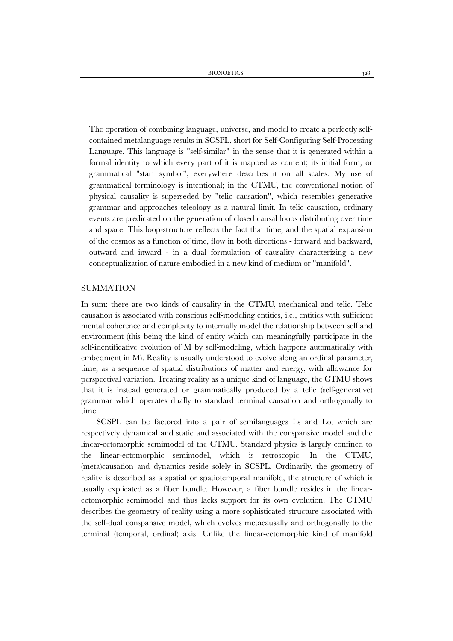The operation of combining language, universe, and model to create a perfectly selfcontained metalanguage results in SCSPL, short for Self-Configuring Self-Processing Language. This language is "self-similar" in the sense that it is generated within a formal identity to which every part of it is mapped as content; its initial form, or grammatical "start symbol", everywhere describes it on all scales. My use of grammatical terminology is intentional; in the CTMU, the conventional notion of physical causality is superseded by "telic causation", which resembles generative grammar and approaches teleology as a natural limit. In telic causation, ordinary events are predicated on the generation of closed causal loops distributing over time and space. This loop-structure reflects the fact that time, and the spatial expansion of the cosmos as a function of time, flow in both directions - forward and backward, outward and inward - in a dual formulation of causality characterizing a new conceptualization of nature embodied in a new kind of medium or "manifold".

### SUMMATION

In sum: there are two kinds of causality in the CTMU, mechanical and telic. Telic causation is associated with conscious self-modeling entities, i.e., entities with sufficient mental coherence and complexity to internally model the relationship between self and environment (this being the kind of entity which can meaningfully participate in the self-identificative evolution of M by self-modeling, which happens automatically with embedment in M). Reality is usually understood to evolve along an ordinal parameter, time, as a sequence of spatial distributions of matter and energy, with allowance for perspectival variation. Treating reality as a unique kind of language, the CTMU shows that it is instead generated or grammatically produced by a telic (self-generative) grammar which operates dually to standard terminal causation and orthogonally to time.

SCSPL can be factored into a pair of semilanguages Ls and Lo, which are respectively dynamical and static and associated with the conspansive model and the linear-ectomorphic semimodel of the CTMU. Standard physics is largely confined to the linear-ectomorphic semimodel, which is retroscopic. In the CTMU, (meta)causation and dynamics reside solely in SCSPL. Ordinarily, the geometry of reality is described as a spatial or spatiotemporal manifold, the structure of which is usually explicated as a fiber bundle. However, a fiber bundle resides in the linearectomorphic semimodel and thus lacks support for its own evolution. The CTMU describes the geometry of reality using a more sophisticated structure associated with the self-dual conspansive model, which evolves metacausally and orthogonally to the terminal (temporal, ordinal) axis. Unlike the linear-ectomorphic kind of manifold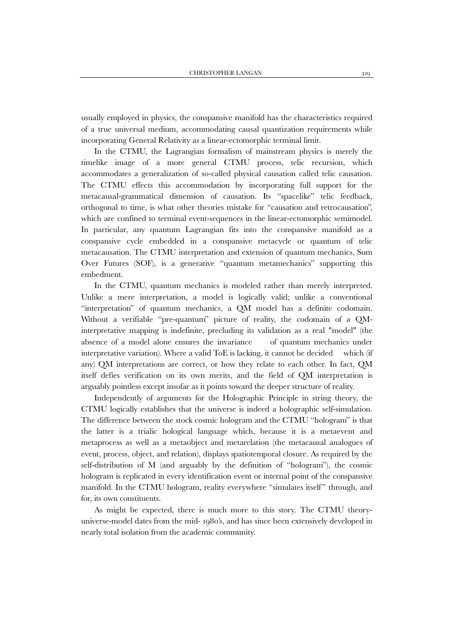usually employed in physics, the conspansive manifold has the characteristics required of a true universal medium, accommodating causal quantization requirements while incorporating General Relativity as a linear-ectomorphic terminal limit.

In the CTMU, the Lagrangian formalism of mainstream physics is merely the timelike image of a more general CTMU process, telic recursion, which accommodates a generalization of so-called physical causation called telic causation. The CTMU effects this accommodation by incorporating full support for the metacausal-grammatical dimension of causation. Its "spacelike" telic feedback, orthogonal to time, is what other theories mistake for "causation and retrocausation", which are confined to terminal event-sequences in the linear-ectomorphic semimodel. In particular, any quantum Lagrangian fits into the conspansive manifold as a conspansive cycle embedded in a conspansive metacycle or quantum of telic metacausation. The CTMU interpretation and extension of quantum mechanics, Sum Over Futures (SOF), is a generative "quantum metamechanics" supporting this embedment.

In the CTMU, quantum mechanics is modeled rather than merely interpreted. Unlike a mere interpretation, a model is logically valid; unlike a conventional "interpretation" of quantum mechanics, a QM model has a definite codomain. Without a verifiable "pre-quantum" picture of reality, the codomain of a QMinterpretative mapping is indefinite, precluding its validation as a real "model" (the absence of a model alone ensures the invariance of quantum mechanics under interpretative variation). Where a valid ToE is lacking, it cannot be decided which (if any) QM interpretations are correct, or how they relate to each other. In fact, QM itself defies verification on its own merits, and the field of QM interpretation is arguably pointless except insofar as it points toward the deeper structure of reality.

Independently of arguments for the Holographic Principle in string theory, the CTMU logically establishes that the universe is indeed a holographic self-simulation. The difference between the stock cosmic hologram and the CTMU "hologram" is that the latter is a trialic hological language which, because it is a metaevent and metaprocess as well as a metaobject and metarelation (the metacausal analogues of event, process, object, and relation), displays spatiotemporal closure. As required by the self-distribution of M (and arguably by the definition of "hologram"), the cosmic hologram is replicated in every identification event or internal point of the conspansive manifold. In the CTMU hologram, reality everywhere "simulates itself" through, and for, its own constituents.

As might be expected, there is much more to this story. The CTMU theoryuniverse-model dates from the mid- 1980's, and has since been extensively developed in nearly total isolation from the academic community.